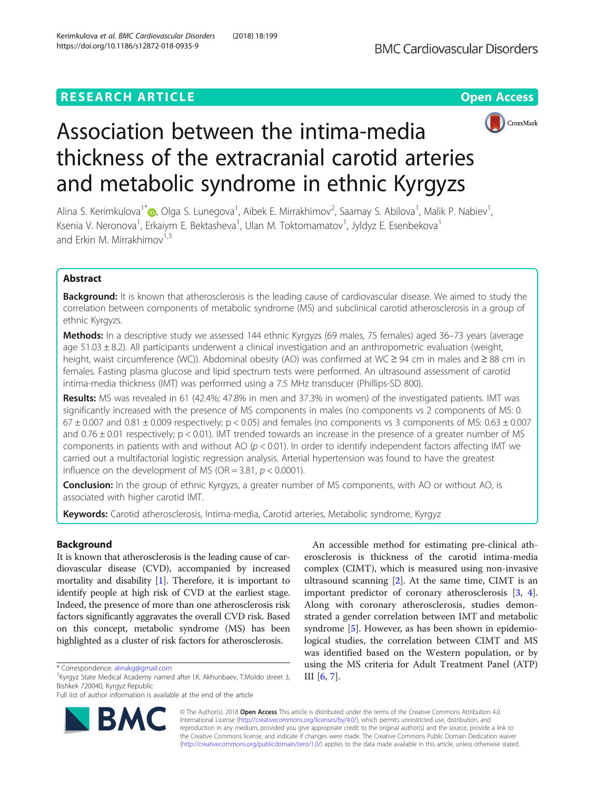## **RESEARCH ARTICLE Example 2014 12:30 The Contract of Contract ACCESS**





# Association between the intima-media thickness of the extracranial carotid arteries and metabolic syndrome in ethnic Kyrgyzs

Alina S. Kerimkulova<sup>1\*</sup>®[,](http://orcid.org/0000-0002-4649-753X) Olga S. Lunegova<sup>1</sup>, Aibek E. Mirrakhimov<sup>2</sup>, Saamay S. Abilova<sup>1</sup>, Malik P. Nabiev<sup>1</sup> , Ksenia V. Neronova<sup>1</sup>, Erkaiym E. Bektasheva<sup>1</sup>, Ulan M. Toktomamatov<sup>1</sup>, Jyldyz E. Esenbekova<sup>1</sup> and Erkin M. Mirrakhimov<sup>1,3</sup>

## Abstract

**Background:** It is known that atherosclerosis is the leading cause of cardiovascular disease. We aimed to study the correlation between components of metabolic syndrome (MS) and subclinical carotid atherosclerosis in a group of ethnic Kyrgyzs.

Methods: In a descriptive study we assessed 144 ethnic Kyrgyzs (69 males, 75 females) aged 36–73 years (average age  $51.03 \pm 8.2$ ). All participants underwent a clinical investigation and an anthropometric evaluation (weight, height, waist circumference (WC)). Abdominal obesity (АО) was confirmed at WC ≥ 94 cm in males and ≥ 88 cm in females. Fasting plasma glucose and lipid spectrum tests were performed. An ultrasound assessment of carotid intima-media thickness (IMT) was performed using a 7.5 MHz transducer (Phillips-SD 800).

Results: MS was revealed in 61 (42.4%; 47.8% in men and 37.3% in women) of the investigated patients. IMT was significantly increased with the presence of MS components in males (no components vs 2 components of MS: 0.  $67 \pm 0.007$  and  $0.81 \pm 0.009$  respectively;  $p < 0.05$ ) and females (no components vs 3 components of MS:  $0.63 \pm 0.007$ and  $0.76 \pm 0.01$  respectively;  $p < 0.01$ ). IMT trended towards an increase in the presence of a greater number of MS components in patients with and without AO ( $p < 0.01$ ). In order to identify independent factors affecting IMT we carried out a multifactorial logistic regression analysis. Arterial hypertension was found to have the greatest influence on the development of MS (OR =  $3.81, p < 0.0001$ ).

Conclusion: In the group of ethnic Kyrgyzs, a greater number of MS components, with AO or without AO, is associated with higher carotid IMT.

Keywords: Carotid atherosclerosis, Intima-media, Carotid arteries, Metabolic syndrome, Kyrgyz

## Background

It is known that atherosclerosis is the leading cause of cardiovascular disease (CVD), accompanied by increased mortality and disability [[1](#page-5-0)]. Therefore, it is important to identify people at high risk of CVD at the earliest stage. Indeed, the presence of more than one atherosclerosis risk factors significantly aggravates the overall CVD risk. Based on this concept, metabolic syndrome (MS) has been highlighted as a cluster of risk factors for atherosclerosis.

Full list of author information is available at the end of the article



An accessible method for estimating pre-clinical atherosclerosis is thickness of the carotid intima-media complex (CIMT), which is measured using non-invasive ultrasound scanning  $[2]$  $[2]$ . At the same time, CIMT is an important predictor of coronary atherosclerosis [\[3](#page-5-0), [4](#page-5-0)]. Along with coronary atherosclerosis, studies demonstrated a gender correlation between IMT and metabolic syndrome [\[5](#page-5-0)]. However, as has been shown in epidemiological studies, the correlation between CIMT and MS was identified based on the Western population, or by using the MS criteria for Adult Treatment Panel (ATP) III [[6,](#page-5-0) [7\]](#page-5-0).

© The Author(s). 2018 Open Access This article is distributed under the terms of the Creative Commons Attribution 4.0 International License [\(http://creativecommons.org/licenses/by/4.0/](http://creativecommons.org/licenses/by/4.0/)), which permits unrestricted use, distribution, and reproduction in any medium, provided you give appropriate credit to the original author(s) and the source, provide a link to the Creative Commons license, and indicate if changes were made. The Creative Commons Public Domain Dedication waiver [\(http://creativecommons.org/publicdomain/zero/1.0/](http://creativecommons.org/publicdomain/zero/1.0/)) applies to the data made available in this article, unless otherwise stated.

<sup>\*</sup> Correspondence: [alinakg@gmail.com](mailto:alinakg@gmail.com) <sup>1</sup>

<sup>&</sup>lt;sup>1</sup> Kyrgyz State Medical Academy named after I.K. Akhunbaev, T.Moldo street 3, Bishkek 720040, Kyrgyz Republic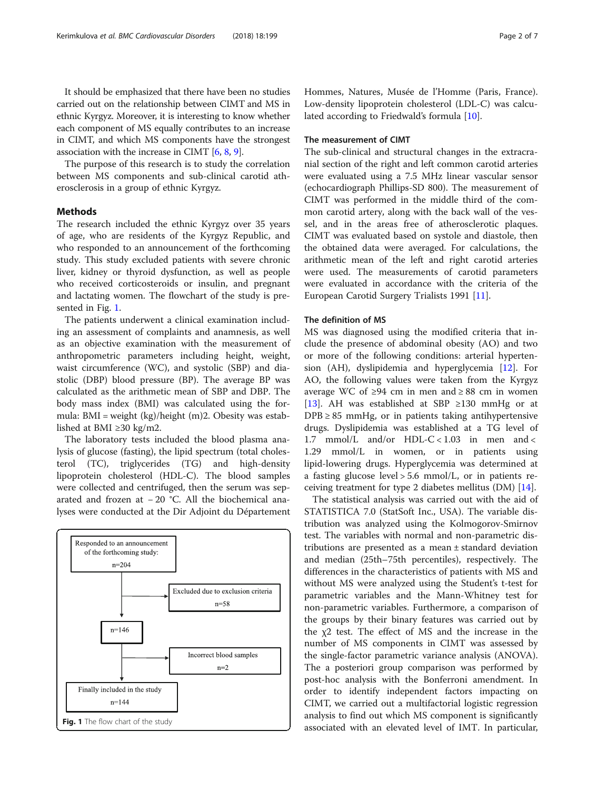It should be emphasized that there have been no studies carried out on the relationship between CIMT and MS in ethnic Kyrgyz. Moreover, it is interesting to know whether each component of MS equally contributes to an increase in CIMT, and which MS components have the strongest association with the increase in CIMT [\[6,](#page-5-0) [8](#page-5-0), [9\]](#page-5-0).

The purpose of this research is to study the correlation between MS components and sub-clinical carotid atherosclerosis in a group of ethnic Kyrgyz.

#### Methods

The research included the ethnic Kyrgyz over 35 years of age, who are residents of the Kyrgyz Republic, and who responded to an announcement of the forthcoming study. This study excluded patients with severe chronic liver, kidney or thyroid dysfunction, as well as people who received corticosteroids or insulin, and pregnant and lactating women. The flowchart of the study is presented in Fig. 1.

The patients underwent a clinical examination including an assessment of complaints and anamnesis, as well as an objective examination with the measurement of anthropometric parameters including height, weight, waist circumference (WC), and systolic (SBP) and diastolic (DBP) blood pressure (BP). The average BP was calculated as the arithmetic mean of SBP and DBP. The body mass index (BMI) was calculated using the formula: BMI = weight (kg)/height (m)2. Obesity was established at BMI ≥30 kg/m2.

The laboratory tests included the blood plasma analysis of glucose (fasting), the lipid spectrum (total cholesterol (TC), triglycerides (TG) and high-density lipoprotein cholesterol (HDL-C). The blood samples were collected and centrifuged, then the serum was separated and frozen at − 20 °C. All the biochemical analyses were conducted at the Dir Adjoint du Département



Hommes, Natures, Musée de l'Homme (Paris, France). Low-density lipoprotein cholesterol (LDL-C) was calcu-lated according to Friedwald's formula [[10\]](#page-5-0).

#### The measurement of CIMT

The sub-clinical and structural changes in the extracranial section of the right and left common carotid arteries were evaluated using a 7.5 MHz linear vascular sensor (echocardiograph Phillips-SD 800). The measurement of CIMT was performed in the middle third of the common carotid artery, along with the back wall of the vessel, and in the areas free of atherosclerotic plaques. CIMT was evaluated based on systole and diastole, then the obtained data were averaged. For calculations, the arithmetic mean of the left and right carotid arteries were used. The measurements of carotid parameters were evaluated in accordance with the criteria of the European Carotid Surgery Trialists 1991 [\[11](#page-5-0)].

#### The definition of MS

MS was diagnosed using the modified criteria that include the presence of abdominal obesity (AO) and two or more of the following conditions: arterial hypertension (AH), dyslipidemia and hyperglycemia [\[12](#page-5-0)]. For AO, the following values were taken from the Kyrgyz average WC of ≥94 cm in men and ≥ 88 cm in women [[13\]](#page-5-0). AH was established at SBP ≥130 mmHg or at  $DPB \geq 85$  mmHg, or in patients taking antihypertensive drugs. Dyslipidemia was established at a TG level of 1.7 mmol/L and/or HDL- $C < 1.03$  in men and  $<$ 1.29 mmol/L in women, or in patients using lipid-lowering drugs. Hyperglycemia was determined at a fasting glucose level > 5.6 mmol/L, or in patients receiving treatment for type 2 diabetes mellitus (DM) [[14\]](#page-5-0).

The statistical analysis was carried out with the aid of STATISTICA 7.0 (StatSoft Inc., USA). The variable distribution was analyzed using the Kolmogorov-Smirnov test. The variables with normal and non-parametric distributions are presented as a mean ± standard deviation and median (25th–75th percentiles), respectively. The differences in the characteristics of patients with MS and without MS were analyzed using the Student's t-test for parametric variables and the Mann-Whitney test for non-parametric variables. Furthermore, a comparison of the groups by their binary features was carried out by the  $χ2$  test. The effect of MS and the increase in the number of MS components in CIMT was assessed by the single-factor parametric variance analysis (ANOVA). The a posteriori group comparison was performed by post-hoc analysis with the Bonferroni amendment. In order to identify independent factors impacting on CIMT, we carried out a multifactorial logistic regression analysis to find out which MS component is significantly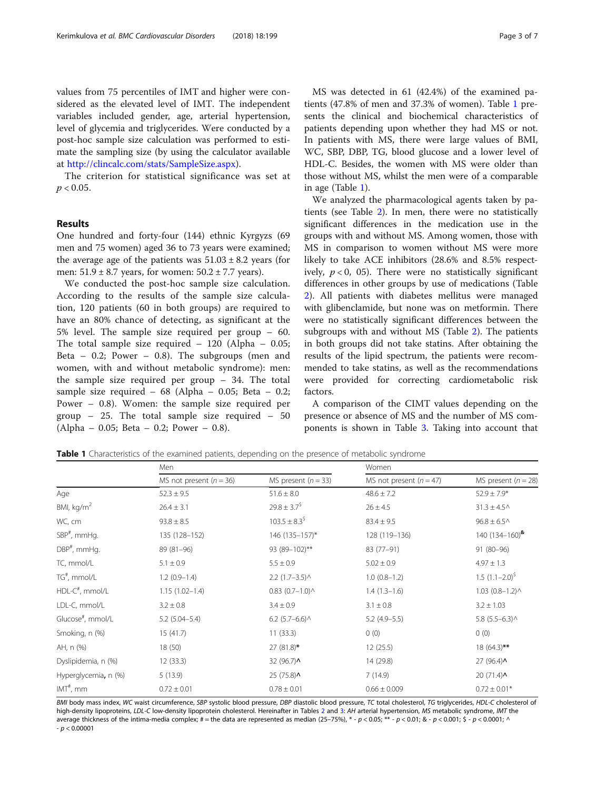values from 75 percentiles of IMT and higher were considered as the elevated level of IMT. The independent variables included gender, age, arterial hypertension, level of glycemia and triglycerides. Were conducted by a post-hoc sample size calculation was performed to estimate the sampling size (by using the calculator available at [http://clincalc.com/stats/SampleSize.aspx\)](http://clincalc.com/stats/SampleSize.aspx).

The criterion for statistical significance was set at  $p < 0.05$ .

#### Results

One hundred and forty-four (144) ethnic Kyrgyzs (69 men and 75 women) aged 36 to 73 years were examined; the average age of the patients was  $51.03 \pm 8.2$  years (for men:  $51.9 \pm 8.7$  years, for women:  $50.2 \pm 7.7$  years).

We conducted the post-hoc sample size calculation. According to the results of the sample size calculation, 120 patients (60 in both groups) are required to have an 80% chance of detecting, as significant at the 5% level. The sample size required per group – 60. The total sample size required – 120 (Alpha – 0.05; Beta  $-$  0.2; Power  $-$  0.8). The subgroups (men and women, with and without metabolic syndrome): men: the sample size required per group – 34. The total sample size required –  $68$  (Alpha – 0.05; Beta – 0.2; Power – 0.8). Women: the sample size required per group – 25. The total sample size required – 50 (Alpha – 0.05; Beta – 0.2; Power – 0.8).

MS was detected in 61 (42.4%) of the examined patients (47.8% of men and 37.3% of women). Table 1 presents the clinical and biochemical characteristics of patients depending upon whether they had MS or not. In patients with MS, there were large values of BMI, WC, SBP, DBP, TG, blood glucose and a lower level of HDL-C. Besides, the women with MS were older than those without MS, whilst the men were of a comparable in age (Table 1).

We analyzed the pharmacological agents taken by patients (see Table [2\)](#page-3-0). In men, there were no statistically significant differences in the medication use in the groups with and without MS. Among women, those with MS in comparison to women without MS were more likely to take ACE inhibitors (28.6% and 8.5% respectively,  $p < 0$ , 05). There were no statistically significant differences in other groups by use of medications (Table [2\)](#page-3-0). All patients with diabetes mellitus were managed with glibenclamide, but none was on metformin. There were no statistically significant differences between the subgroups with and without MS (Table [2\)](#page-3-0). The patients in both groups did not take statins. After obtaining the results of the lipid spectrum, the patients were recommended to take statins, as well as the recommendations were provided for correcting cardiometabolic risk factors.

A comparison of the CIMT values depending on the presence or absence of MS and the number of MS components is shown in Table [3.](#page-3-0) Taking into account that

|                               | Men                         |                         | Women                     |                                                   |  |
|-------------------------------|-----------------------------|-------------------------|---------------------------|---------------------------------------------------|--|
|                               | MS not present ( $n = 36$ ) | MS present ( $n = 33$ ) | MS not present $(n = 47)$ | MS present $(n = 28)$                             |  |
| Age                           | $52.3 \pm 9.5$              | $51.6 \pm 8.0$          | $48.6 \pm 7.2$            | $52.9 \pm 7.9*$                                   |  |
| BMI, $kg/m2$                  | $26.4 \pm 3.1$              | $29.8 \pm 3.7^5$        | $26 \pm 4.5$              | $31.3 \pm 4.5$                                    |  |
| WC, cm                        | $93.8 \pm 8.5$              | $103.5 \pm 8.3^5$       | $83.4 \pm 9.5$            | $96.8 \pm 6.5$ ^                                  |  |
| SBP <sup>#</sup> , mmHg.      | 135 (128-152)               | 146 (135-157)*          | 128 (119-136)             | 140 $(134 - 160)^{8}$                             |  |
| $DBP^{\#}$ , mmHq.            | 89 (81-96)                  | 93 (89-102)**           | 83 (77-91)                | 91 (80-96)                                        |  |
| TC, mmol/L                    | $5.1 \pm 0.9$               | $5.5 \pm 0.9$           | $5.02 \pm 0.9$            | $4.97 \pm 1.3$                                    |  |
| TG <sup>#</sup> , mmol/L      | $1.2(0.9-1.4)$              | $2.2$ (1.7-3.5) $\land$ | $1.0(0.8-1.2)$            | 1.5 $(1.1-2.0)^5$                                 |  |
| $HDL-C^{\#}$ , mmol/L         | $1.15(1.02 - 1.4)$          | $0.83$ $(0.7-1.0)$ ^    | $1.4(1.3-1.6)$            | $1.03$ $(0.8-1.2)$ <sup><math>\wedge</math></sup> |  |
| LDL-C, mmol/L                 | $3.2 \pm 0.8$               | $3.4 \pm 0.9$           | $3.1 \pm 0.8$             | $3.2 \pm 1.03$                                    |  |
| Glucose <sup>#</sup> , mmol/L | $5.2$ (5.04-5.4)            | $6.2$ (5.7–6.6) $\land$ | $5.2(4.9-5.5)$            | $5.8$ (5.5-6.3) ^                                 |  |
| Smoking, n (%)                | 15(41.7)                    | 11(33.3)                | 0(0)                      | 0(0)                                              |  |
| AH, n (%)                     | 18(50)                      | $27(81.8)$ *            | 12(25.5)                  | $18(64.3)$ **                                     |  |
| Dyslipidemia, n (%)           | 12(33.3)                    | 32 (96.7) ^             | 14 (29.8)                 | 27(96.4)                                          |  |
| Hyperglycemia, n (%)          | 5(13.9)                     | $25(75.8)$ $\wedge$     | 7(14.9)                   | 20(71.4)                                          |  |
| $IMT^{\#}$ , mm               | $0.72 \pm 0.01$             | $0.78 \pm 0.01$         | $0.66 \pm 0.009$          | $0.72 \pm 0.01*$                                  |  |

Table 1 Characteristics of the examined patients, depending on the presence of metabolic syndrome

BMI body mass index, WC waist circumference, SBP systolic blood pressure, DBP diastolic blood pressure, TC total cholesterol, TG triglycerides, HDL-C cholesterol of high-density lipoproteins, LDL-C low-density lipoprotein cholesterol. Hereinafter in Tables [2](#page-3-0) and [3](#page-3-0): AH arterial hypertension, MS metabolic syndrome, IMT the average thickness of the intima-media complex; # = the data are represented as median (25–75%), \* - p < 0.05; \*\* - p < 0.01; & - p < 0.001; \$ - p < 0.0001; ^ - p < 0.00001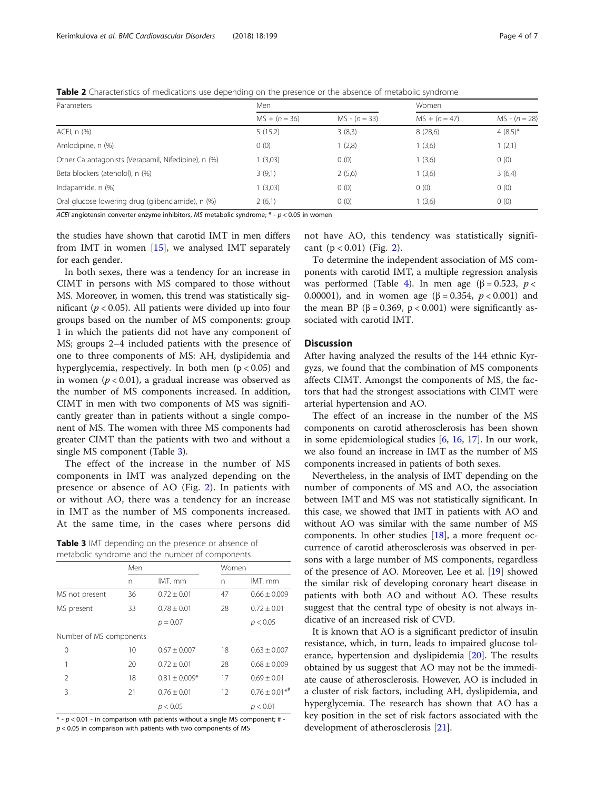<span id="page-3-0"></span>Table 2 Characteristics of medications use depending on the presence or the absence of metabolic syndrome

| Parameters                                          | Men             |                 | Women           |                 |
|-----------------------------------------------------|-----------------|-----------------|-----------------|-----------------|
|                                                     | $MS + (n = 36)$ | $MS - (n = 33)$ | $MS + (n = 47)$ | $MS - (n = 28)$ |
| ACEI, n (%)                                         | 5(15,2)         | 3(8,3)          | 8(28,6)         | $4(8,5)^{*}$    |
| Amlodipine, n (%)                                   | 0(0)            | 1(2,8)          | 1(3,6)          | 1(2,1)          |
| Other Ca antagonists (Verapamil, Nifedipine), n (%) | (3,03)          | 0(0)            | 1(3,6)          | 0(0)            |
| Beta blockers (atenolol), n (%)                     | 3(9,1)          | 2(5,6)          | 1(3,6)          | 3(6,4)          |
| Indapamide, n (%)                                   | (3,03)          | 0(0)            | 0(0)            | 0(0)            |
| Oral glucose lowering drug (glibenclamide), n (%)   | 2(6,1)          | 0(0)            | 1(3,6)          | 0(0)            |

ACEI angiotensin converter enzyme inhibitors, MS metabolic syndrome;  $* - p < 0.05$  in women

the studies have shown that carotid IMT in men differs from IMT in women [[15\]](#page-5-0), we analysed IMT separately for each gender.

In both sexes, there was a tendency for an increase in CIMT in persons with MS compared to those without MS. Moreover, in women, this trend was statistically significant ( $p < 0.05$ ). All patients were divided up into four groups based on the number of MS components: group 1 in which the patients did not have any component of MS; groups 2–4 included patients with the presence of one to three components of MS: AH, dyslipidemia and hyperglycemia, respectively. In both men ( $p < 0.05$ ) and in women ( $p < 0.01$ ), a gradual increase was observed as the number of MS components increased. In addition, CIMT in men with two components of MS was significantly greater than in patients without a single component of MS. The women with three MS components had greater CIMT than the patients with two and without a single MS component (Table 3).

The effect of the increase in the number of MS components in IMT was analyzed depending on the presence or absence of AO (Fig. [2](#page-4-0)). In patients with or without AO, there was a tendency for an increase in IMT as the number of MS components increased. At the same time, in the cases where persons did

Table 3 IMT depending on the presence or absence of metabolic syndrome and the number of components

|                         | Men |                   | Women |                                |
|-------------------------|-----|-------------------|-------|--------------------------------|
|                         | n   | IMT. mm           | n     | IMT. mm                        |
| MS not present          | 36  | $0.72 \pm 0.01$   | 47    | $0.66 \pm 0.009$               |
| MS present              | 33  | $0.78 + 0.01$     | 28    | $0.72 \pm 0.01$                |
|                         |     | $p = 0.07$        |       | p < 0.05                       |
| Number of MS components |     |                   |       |                                |
| 0                       | 10  | $0.67 \pm 0.007$  | 18    | $0.63 \pm 0.007$               |
| 1                       | 20  | $0.72 \pm 0.01$   | 28    | $0.68 \pm 0.009$               |
| $\mathfrak{D}$          | 18  | $0.81 \pm 0.009*$ | 17    | $0.69 \pm 0.01$                |
| 3                       | 21  | $0.76 \pm 0.01$   | 12    | $0.76 \pm 0.01$ * <sup>#</sup> |
|                         |     | p < 0.05          |       | p < 0.01                       |
|                         |     |                   |       |                                |

 $*$  -  $p$  < 0.01 - in comparison with patients without a single MS component; #  $p < 0.05$  in comparison with patients with two components of MS

not have AO, this tendency was statistically significant  $(p < 0.01)$  (Fig. [2\)](#page-4-0).

To determine the independent association of MS components with carotid IMT, a multiple regression analysis was performed (Table [4](#page-4-0)). In men age ( $\beta = 0.523$ ,  $p <$ 0.00001), and in women age (β = 0.354,  $p < 0.001$ ) and the mean BP (β = 0.369, p < 0.001) were significantly associated with carotid IMT.

### **Discussion**

After having analyzed the results of the 144 ethnic Kyrgyzs, we found that the combination of MS components affects CIMT. Amongst the components of MS, the factors that had the strongest associations with CIMT were arterial hypertension and AO.

The effect of an increase in the number of the MS components on carotid atherosclerosis has been shown in some epidemiological studies [\[6](#page-5-0), [16,](#page-5-0) [17\]](#page-5-0). In our work, we also found an increase in IMT as the number of MS components increased in patients of both sexes.

Nevertheless, in the analysis of IMT depending on the number of components of MS and AO, the association between IMT and MS was not statistically significant. In this case, we showed that IMT in patients with AO and without AO was similar with the same number of MS components. In other studies [[18](#page-6-0)], a more frequent occurrence of carotid atherosclerosis was observed in persons with a large number of MS components, regardless of the presence of AO. Moreover, Lee et al. [[19](#page-6-0)] showed the similar risk of developing coronary heart disease in patients with both AO and without AO. These results suggest that the central type of obesity is not always indicative of an increased risk of CVD.

It is known that AO is a significant predictor of insulin resistance, which, in turn, leads to impaired glucose tolerance, hypertension and dyslipidemia [\[20](#page-6-0)]. The results obtained by us suggest that AO may not be the immediate cause of atherosclerosis. However, AO is included in a cluster of risk factors, including AH, dyslipidemia, and hyperglycemia. The research has shown that AO has a key position in the set of risk factors associated with the development of atherosclerosis [\[21](#page-6-0)].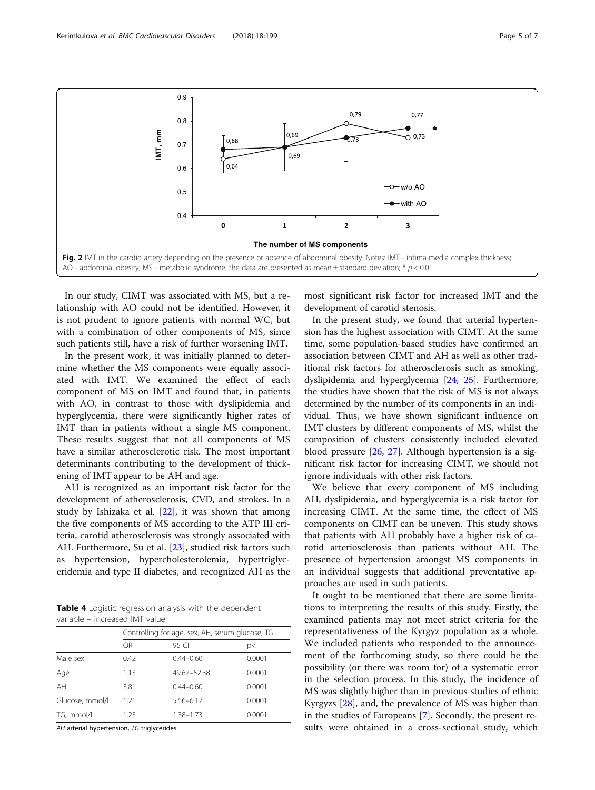<span id="page-4-0"></span>

In our study, CIMT was associated with MS, but a relationship with AO could not be identified. However, it is not prudent to ignore patients with normal WC, but with a combination of other components of MS, since such patients still, have a risk of further worsening IMT.

In the present work, it was initially planned to determine whether the MS components were equally associated with IMT. We examined the effect of each component of MS on IMT and found that, in patients with AO, in contrast to those with dyslipidemia and hyperglycemia, there were significantly higher rates of IMT than in patients without a single MS component. These results suggest that not all components of MS have a similar atherosclerotic risk. The most important determinants contributing to the development of thickening of IMT appear to be AH and age.

AH is recognized as an important risk factor for the development of atherosclerosis, CVD, and strokes. In a study by Ishizaka et al. [[22](#page-6-0)], it was shown that among the five components of MS according to the ATP III criteria, carotid atherosclerosis was strongly associated with AH. Furthermore, Su et al. [[23](#page-6-0)], studied risk factors such as hypertension, hypercholesterolemia, hypertriglyceridemia and type II diabetes, and recognized AH as the

Table 4 Logistic regression analysis with the dependent variable – increased IMT value

|                 | Controlling for age, sex, AH, serum glucose, TG |               |        |
|-----------------|-------------------------------------------------|---------------|--------|
|                 | 0R                                              | 95 CI         | p<     |
| Male sex        | 0.42                                            | $0.44 - 0.60$ | 0.0001 |
| Age             | 1.13                                            | 49.67-52.38   | 0.0001 |
| AH              | 3.81                                            | $0.44 - 0.60$ | 0.0001 |
| Glucose, mmol/l | 1.21                                            | 5.56-6.17     | 0.0001 |
| TG, mmol/l      | 1.23                                            | 1.38-1.73     | 0.0001 |

AH arterial hypertension, TG triglycerides

most significant risk factor for increased IMT and the development of carotid stenosis.

In the present study, we found that arterial hypertension has the highest association with CIMT. At the same time, some population-based studies have confirmed an association between CIMT and AH as well as other traditional risk factors for atherosclerosis such as smoking, dyslipidemia and hyperglycemia [\[24](#page-6-0), [25](#page-6-0)]. Furthermore, the studies have shown that the risk of MS is not always determined by the number of its components in an individual. Thus, we have shown significant influence on IMT clusters by different components of MS, whilst the composition of clusters consistently included elevated blood pressure [[26](#page-6-0), [27](#page-6-0)]. Although hypertension is a significant risk factor for increasing CIMT, we should not ignore individuals with other risk factors.

We believe that every component of MS including AH, dyslipidemia, and hyperglycemia is a risk factor for increasing СIMT. At the same time, the effect of MS components on CIMT can be uneven. This study shows that patients with AH probably have a higher risk of carotid arteriosclerosis than patients without AH. The presence of hypertension amongst MS components in an individual suggests that additional preventative approaches are used in such patients.

It ought to be mentioned that there are some limitations to interpreting the results of this study. Firstly, the examined patients may not meet strict criteria for the representativeness of the Kyrgyz population as a whole. We included patients who responded to the announcement of the forthcoming study, so there could be the possibility (or there was room for) of a systematic error in the selection process. In this study, the incidence of MS was slightly higher than in previous studies of ethnic Kyrgyzs [[28\]](#page-6-0), and, the prevalence of MS was higher than in the studies of Europeans [[7\]](#page-5-0). Secondly, the present results were obtained in a cross-sectional study, which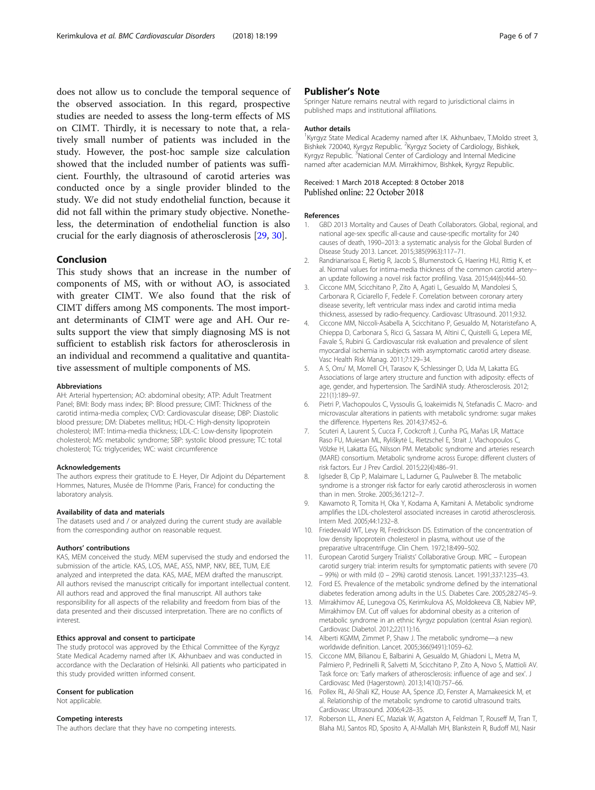<span id="page-5-0"></span>does not allow us to conclude the temporal sequence of the observed association. In this regard, prospective studies are needed to assess the long-term effects of MS on CIMT. Thirdly, it is necessary to note that, a relatively small number of patients was included in the study. However, the post-hoc sample size calculation showed that the included number of patients was sufficient. Fourthly, the ultrasound of carotid arteries was conducted once by a single provider blinded to the study. We did not study endothelial function, because it did not fall within the primary study objective. Nonetheless, the determination of endothelial function is also crucial for the early diagnosis of atherosclerosis [\[29](#page-6-0), [30](#page-6-0)].

#### Conclusion

This study shows that an increase in the number of components of MS, with or without AO, is associated with greater CIMT. We also found that the risk of CIMT differs among MS components. The most important determinants of CIMT were age and AH. Our results support the view that simply diagnosing MS is not sufficient to establish risk factors for atherosclerosis in an individual and recommend a qualitative and quantitative assessment of multiple components of MS.

#### Abbreviations

AH: Arterial hypertension; AO: abdominal obesity; ATP: Adult Treatment Panel; BMI: Body mass index; BP: Blood pressure; CIMT: Thickness of the carotid intima-media complex; CVD: Cardiovascular disease; DBP: Diastolic blood pressure; DM: Diabetes mellitus; HDL-C: High-density lipoprotein cholesterol; IMT: Intima-media thickness; LDL-C: Low-density lipoprotein cholesterol; MS: metabolic syndrome; SBP: systolic blood pressure; TC: total cholesterol; TG: triglycerides; WC: waist circumference

#### Acknowledgements

The authors express their gratitude to E. Heyer, Dir Adjoint du Département Hommes, Natures, Musée de l'Homme (Paris, France) for conducting the laboratory analysis.

#### Availability of data and materials

The datasets used and / or analyzed during the current study are available from the corresponding author on reasonable request.

#### Authors' contributions

KAS, MEM conceived the study. MEM supervised the study and endorsed the submission of the article. KAS, LOS, MAE, ASS, NMP, NKV, BEE, TUM, EJE analyzed and interpreted the data. KAS, MAE, MEM drafted the manuscript. All authors revised the manuscript critically for important intellectual content. All authors read and approved the final manuscript. All authors take responsibility for all aspects of the reliability and freedom from bias of the data presented and their discussed interpretation. There are no conflicts of interest.

#### Ethics approval and consent to participate

The study protocol was approved by the Ethical Committee of the Kyrgyz State Medical Academy named after I.K. Akhunbaev and was conducted in accordance with the Declaration of Helsinki. All patients who participated in this study provided written informed consent.

#### Consent for publication

Not applicable.

#### Competing interests

The authors declare that they have no competing interests.

#### Publisher's Note

Springer Nature remains neutral with regard to jurisdictional claims in published maps and institutional affiliations.

#### Author details

<sup>1</sup> Kyrgyz State Medical Academy named after I.K. Akhunbaev, T.Moldo street 3 Bishkek 720040, Kyrgyz Republic. <sup>2</sup> Kyrgyz Society of Cardiology, Bishkek, Kyrgyz Republic. <sup>3</sup>National Center of Cardiology and Internal Medicine named after academician M.M. Mirrakhimov, Bishkek, Kyrgyz Republic.

#### Received: 1 March 2018 Accepted: 8 October 2018 Published online: 22 October 2018

#### References

- 1. GBD 2013 Mortality and Causes of Death Collaborators. Global, regional, and national age-sex specific all-cause and cause-specific mortality for 240 causes of death, 1990–2013: a systematic analysis for the Global Burden of Disease Study 2013. Lancet. 2015;385(9963):117–71.
- 2. Randrianarisoa E, Rietig R, Jacob S, Blumenstock G, Haering HU, Rittig K, et al. Normal values for intima-media thickness of the common carotid artery- an update following a novel risk factor profiling. Vasa. 2015;44(6):444–50.
- 3. Ciccone MM, Scicchitano P, Zito A, Agati L, Gesualdo M, Mandolesi S, Carbonara R, Ciciarello F, Fedele F. Correlation between coronary artery disease severity, left ventricular mass index and carotid intima media thickness, assessed by radio-frequency. Cardiovasc Ultrasound. 2011;9:32.
- 4. Ciccone MM, Niccoli-Asabella A, Scicchitano P, Gesualdo M, Notaristefano A, Chieppa D, Carbonara S, Ricci G, Sassara M, Altini C, Quistelli G, Lepera ME, Favale S, Rubini G. Cardiovascular risk evaluation and prevalence of silent myocardial ischemia in subjects with asymptomatic carotid artery disease. Vasc Health Risk Manag. 2011;7:129–34.
- 5. A S, Orru' M, Morrell CH, Tarasov K, Schlessinger D, Uda M, Lakatta EG. Associations of large artery structure and function with adiposity: effects of age, gender, and hypertension. The SardiNIA study. Atherosclerosis. 2012; 221(1):189–97.
- 6. Pietri P, Vlachopoulos C, Vyssoulis G, Ioakeimidis N, Stefanadis C. Macro- and microvascular alterations in patients with metabolic syndrome: sugar makes the difference. Hypertens Res. 2014;37:452–6.
- 7. Scuteri A, Laurent S, Cucca F, Cockcroft J, Cunha PG, Mañas LR, Mattace Raso FU, Muiesan ML, Ryliškytė L, Rietzschel E, Strait J, Vlachopoulos C, Völzke H, Lakatta EG, Nilsson PM. Metabolic syndrome and arteries research (MARE) consortium. Metabolic syndrome across Europe: different clusters of risk factors. Eur J Prev Cardiol. 2015;22(4):486–91.
- 8. Iglseder B, Cip P, Malaimare L, Ladurner G, Paulweber B. The metabolic syndrome is a stronger risk factor for early carotid atherosclerosis in women than in men. Stroke. 2005;36:1212–7.
- 9. Kawamoto R, Tomita H, Oka Y, Kodama A, Kamitani A. Metabolic syndrome amplifies the LDL-cholesterol associated increases in carotid atherosclerosis. Intern Med. 2005;44:1232–8.
- 10. Friedewald WT, Levy RI, Fredrickson DS. Estimation of the concentration of low density lipoprotein cholesterol in plasma, without use of the preparative ultracentrifuge. Clin Chem. 1972;18:499–502.
- 11. European Carotid Surgery Trialists' Collaborative Group. MRC European carotid surgery trial: interim results for symptomatic patients with severe (70 – 99%) or with mild (0 – 29%) carotid stenosis. Lancet. 1991;337:1235–43.
- 12. Ford ES. Prevalence of the metabolic syndrome defined by the international diabetes federation among adults in the U.S. Diabetes Care. 2005;28:2745–9.
- 13. Mirrakhimov AE, Lunegova OS, Kerimkulova AS, Moldokeeva CB, Nabiev MP, Mirrakhimov EM. Cut off values for abdominal obesity as a criterion of metabolic syndrome in an ethnic Kyrgyz population (central Asian region). Cardiovasc Diabetol. 2012;22(11):16.
- 14. Alberti KGMM, Zimmet P, Shaw J. The metabolic syndrome—a new worldwide definition. Lancet. 2005;366(9491):1059–62.
- 15. Ciccone MM, Bilianou E, Balbarini A, Gesualdo M, Ghiadoni L, Metra M, Palmiero P, Pedrinelli R, Salvetti M, Scicchitano P, Zito A, Novo S, Mattioli AV. Task force on: 'Early markers of atherosclerosis: influence of age and sex'. J Cardiovasc Med (Hagerstown). 2013;14(10):757–66.
- 16. Pollex RL, Al-Shali KZ, House AA, Spence JD, Fenster A, Mamakeesick M, et al. Relationship of the metabolic syndrome to carotid ultrasound traits. Cardiovasc Ultrasound. 2006;4:28–35.
- 17. Roberson LL, Aneni EC, Maziak W, Agatston A, Feldman T, Rouseff M, Tran T, Blaha MJ, Santos RD, Sposito A, Al-Mallah MH, Blankstein R, Budoff MJ, Nasir